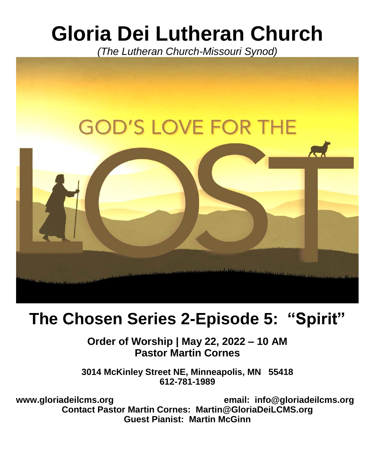# **Gloria Dei Lutheran Church**

*(The Lutheran Church-Missouri Synod)*



# **The Chosen Series 2-Episode 5: "Spirit"**

**Order of Worship | May 22, 2022 – 10 AM Pastor Martin Cornes**

**3014 McKinley Street NE, Minneapolis, MN 55418 612-781-1989**

**[www.gloriadeilcms.org](http://www.gloriadeilcms.net/) email: [info@gloriadeilcms.org](mailto:info@gloriadeilcms.org) Contact Pastor Martin Cornes: [Martin@GloriaDeiLCMS.org](mailto:Martin@GloriaDeiLCMS.org) Guest Pianist: Martin McGinn**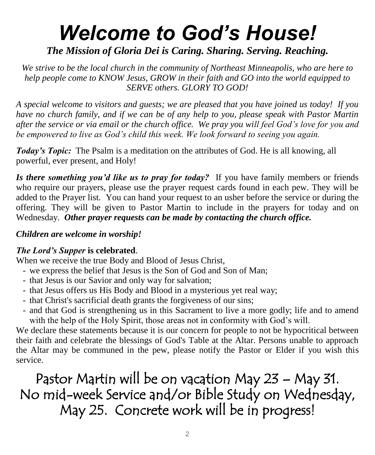# *Welcome to God's House!*

## *The Mission of Gloria Dei is Caring. Sharing. Serving. Reaching.*

*We strive to be the local church in the community of Northeast Minneapolis, who are here to help people come to KNOW Jesus, GROW in their faith and GO into the world equipped to SERVE others. GLORY TO GOD!*

*A special welcome to visitors and guests; we are pleased that you have joined us today! If you have no church family, and if we can be of any help to you, please speak with Pastor Martin after the service or via email or the church office. We pray you will feel God's love for you and be empowered to live as God's child this week. We look forward to seeing you again.* 

*Today's Topic:* The Psalm is a meditation on the attributes of God. He is all knowing, all powerful, ever present, and Holy!

*Is there something you'd like us to pray for today?* If you have family members or friends who require our prayers, please use the prayer request cards found in each pew. They will be added to the Prayer list. You can hand your request to an usher before the service or during the offering. They will be given to Pastor Martin to include in the prayers for today and on Wednesday. *Other prayer requests can be made by contacting the church office.*

#### *Children are welcome in worship!*

#### *The Lord's Supper* **is celebrated**.

When we receive the true Body and Blood of Jesus Christ,

- we express the belief that Jesus is the Son of God and Son of Man;
- that Jesus is our Savior and only way for salvation;
- that Jesus offers us His Body and Blood in a mysterious yet real way;
- that Christ's sacrificial death grants the forgiveness of our sins;
- and that God is strengthening us in this Sacrament to live a more godly; life and to amend with the help of the Holy Spirit, those areas not in conformity with God's will.

We declare these statements because it is our concern for people to not be hypocritical between their faith and celebrate the blessings of God's Table at the Altar. Persons unable to approach the Altar may be communed in the pew, please notify the Pastor or Elder if you wish this service.

Pastor Martin will be on vacation May 23 – May 31. No mid-week Service and/or Bible Study on Wednesday, May 25. Concrete work will be in progress!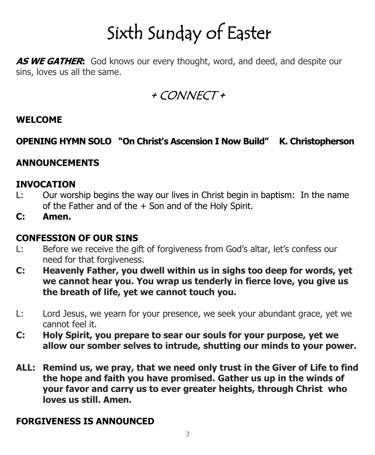# Sixth Sunday of Easter

**AS WE GATHER:** God knows our every thought, word, and deed, and despite our sins, loves us all the same.

+ CONNECT +

#### **WELCOME**

### **OPENING HYMN SOLO "On Christ's Ascension I Now Build" K. Christopherson**

#### **ANNOUNCEMENTS**

#### **INVOCATION**

- L: Our worship begins the way our lives in Christ begin in baptism: In the name of the Father and of the  $+$  Son and of the Holy Spirit.
- **C: Amen.**

#### **CONFESSION OF OUR SINS**

- L: Before we receive the gift of forgiveness from God's altar, let's confess our need for that forgiveness.
- **C: Heavenly Father, you dwell within us in sighs too deep for words, yet we cannot hear you. You wrap us tenderly in fierce love, you give us the breath of life, yet we cannot touch you.**
- L: Lord Jesus, we yearn for your presence, we seek your abundant grace, yet we cannot feel it.
- **C: Holy Spirit, you prepare to sear our souls for your purpose, yet we allow our somber selves to intrude, shutting our minds to your power.**
- **ALL: Remind us, we pray, that we need only trust in the Giver of Life to find the hope and faith you have promised. Gather us up in the winds of your favor and carry us to ever greater heights, through Christ who loves us still. Amen.**

#### **FORGIVENESS IS ANNOUNCED**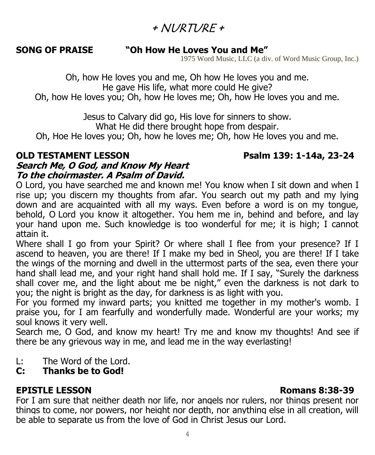# $+$  NI/RTI/RF +

#### **SONG OF PRAISE "Oh How He Loves You and Me"**

1975 Word Music, LLC (a div. of Word Music Group, Inc.)

Oh, how He loves you and me, Oh how He loves you and me. He gave His life, what more could He give? Oh, how He loves you; Oh, how He loves me; Oh, how He loves you and me.

> Jesus to Calvary did go, His love for sinners to show. What He did there brought hope from despair.

Oh, Hoe He loves you; Oh, how he loves me; Oh, how He loves you and me.

#### **OLD TESTAMENT LESSON Psalm 139: 1-14a, 23-24 Search Me, O God, and Know My Heart To the choirmaster. A Psalm of David.**

O Lord, you have searched me and known me! You know when I sit down and when I rise up; you discern my thoughts from afar. You search out my path and my lying down and are acquainted with all my ways. Even before a word is on my tongue, behold, O Lord you know it altogether. You hem me in, behind and before, and lay your hand upon me. Such knowledge is too wonderful for me; it is high; I cannot attain it.

Where shall I go from your Spirit? Or where shall I flee from your presence? If I ascend to heaven, you are there! If I make my bed in Sheol, you are there! If I take the wings of the morning and dwell in the uttermost parts of the sea, even there your hand shall lead me, and your right hand shall hold me. If I say, "Surely the darkness shall cover me, and the light about me be night," even the darkness is not dark to you; the night is bright as the day, for darkness is as light with you.

For you formed my inward parts; you knitted me together in my mother's womb. I praise you, for I am fearfully and wonderfully made. Wonderful are your works; my soul knows it very well.

Search me, O God, and know my heart! Try me and know my thoughts! And see if there be any grievous way in me, and lead me in the way everlasting!

L: The Word of the Lord.

### **C: Thanks be to God!**

### **EPISTLE LESSON Romans 8:38-39**

For I am sure that neither death nor life, nor angels nor rulers, nor things present nor things to come, nor powers, nor height nor depth, nor anything else in all creation, will be able to separate us from the love of God in Christ Jesus our Lord.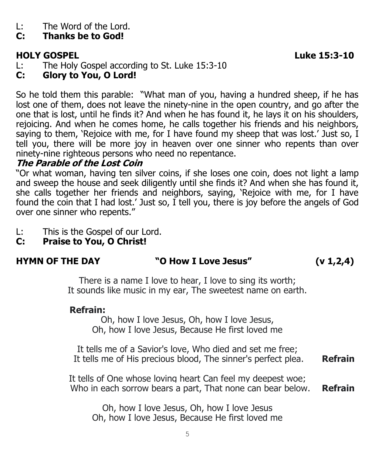L: The Word of the Lord.

# **C: Thanks be to God!**

# **HOLY GOSPEL Luke 15:3-10**

- L: The Holy Gospel according to St. Luke 15:3-10
- **C: Glory to You, O Lord!**

So he told them this parable: "What man of you, having a hundred sheep, if he has lost one of them, does not leave the ninety-nine in the open country, and go after the one that is lost, until he finds it? And when he has found it, he lays it on his shoulders, rejoicing. And when he comes home, he calls together his friends and his neighbors, saying to them, 'Rejoice with me, for I have found my sheep that was lost.' Just so, I tell you, there will be more joy in heaven over one sinner who repents than over ninety-nine righteous persons who need no repentance.

## **The Parable of the Lost Coin**

"Or what woman, having ten silver coins, if she loses one coin, does not light a lamp and sweep the house and seek diligently until she finds it? And when she has found it, she calls together her friends and neighbors, saying, 'Rejoice with me, for I have found the coin that I had lost.' Just so, I tell you, there is joy before the angels of God over one sinner who repents."

- L: This is the Gospel of our Lord.
- **C: Praise to You, O Christ!**

| <b>HYMN OF THE DAY</b>                                                                                                   | "O How I Love Jesus"                                                                           | (v 1, 2, 4) |
|--------------------------------------------------------------------------------------------------------------------------|------------------------------------------------------------------------------------------------|-------------|
| There is a name I love to hear, I love to sing its worth;<br>It sounds like music in my ear, The sweetest name on earth. |                                                                                                |             |
| <b>Refrain:</b>                                                                                                          | Oh, how I love Jesus, Oh, how I love Jesus,<br>Oh, how I love Jesus, Because He first loved me |             |

It tells me of a Savior's love, Who died and set me free; It tells me of His precious blood, The sinner's perfect plea. **Refrain**

It tells of One whose loving heart Can feel my deepest woe; Who in each sorrow bears a part, That none can bear below. **Refrain**

Oh, how I love Jesus, Oh, how I love Jesus Oh, how I love Jesus, Because He first loved me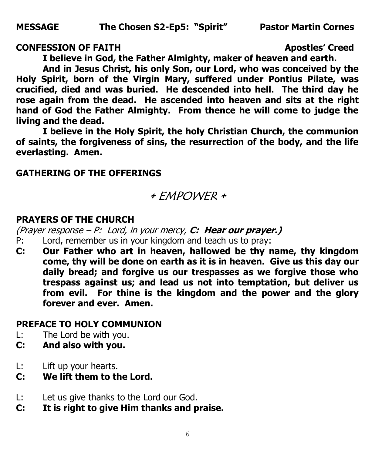#### **CONFESSION OF FAITH Apostles' Creed**

**I believe in God, the Father Almighty, maker of heaven and earth.**

**And in Jesus Christ, his only Son, our Lord, who was conceived by the Holy Spirit, born of the Virgin Mary, suffered under Pontius Pilate, was crucified, died and was buried. He descended into hell. The third day he rose again from the dead. He ascended into heaven and sits at the right hand of God the Father Almighty. From thence he will come to judge the living and the dead.** 

**I believe in the Holy Spirit, the holy Christian Church, the communion of saints, the forgiveness of sins, the resurrection of the body, and the life everlasting. Amen.** 

#### **GATHERING OF THE OFFERINGS**

# + EMPOWER +

#### **PRAYERS OF THE CHURCH**

(Prayer response – P: Lord, in your mercy, **C: Hear our prayer.)**

- P: Lord, remember us in your kingdom and teach us to pray:
- **C: Our Father who art in heaven, hallowed be thy name, thy kingdom come, thy will be done on earth as it is in heaven. Give us this day our daily bread; and forgive us our trespasses as we forgive those who trespass against us; and lead us not into temptation, but deliver us from evil. For thine is the kingdom and the power and the glory forever and ever. Amen.**

#### **PREFACE TO HOLY COMMUNION**

- L: The Lord be with you.
- **C: And also with you.**
- L: Lift up your hearts.
- **C: We lift them to the Lord.**
- L: Let us give thanks to the Lord our God.
- **C: It is right to give Him thanks and praise.**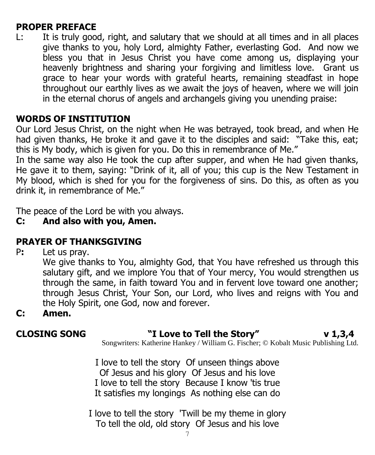#### **PROPER PREFACE**

L: It is truly good, right, and salutary that we should at all times and in all places give thanks to you, holy Lord, almighty Father, everlasting God. And now we bless you that in Jesus Christ you have come among us, displaying your heavenly brightness and sharing your forgiving and limitless love. Grant us grace to hear your words with grateful hearts, remaining steadfast in hope throughout our earthly lives as we await the joys of heaven, where we will join in the eternal chorus of angels and archangels giving you unending praise:

#### **WORDS OF INSTITUTION**

Our Lord Jesus Christ, on the night when He was betrayed, took bread, and when He had given thanks, He broke it and gave it to the disciples and said: "Take this, eat; this is My body, which is given for you. Do this in remembrance of Me."

In the same way also He took the cup after supper, and when He had given thanks, He gave it to them, saying: "Drink of it, all of you; this cup is the New Testament in My blood, which is shed for you for the forgiveness of sins. Do this, as often as you drink it, in remembrance of Me."

The peace of the Lord be with you always.

#### **C: And also with you, Amen.**

### **PRAYER OF THANKSGIVING**

P**:** Let us pray.

We give thanks to You, almighty God, that You have refreshed us through this salutary gift, and we implore You that of Your mercy, You would strengthen us through the same, in faith toward You and in fervent love toward one another; through Jesus Christ, Your Son, our Lord, who lives and reigns with You and the Holy Spirit, one God, now and forever.

**C: Amen.**

### **CLOSING SONG "I Love to Tell the Story" v 1,3,4**

Songwriters: Katherine Hankey / William G. Fischer; © Kobalt Music Publishing Ltd.

I love to tell the story Of unseen things above Of Jesus and his glory Of Jesus and his love I love to tell the story Because I know 'tis true It satisfies my longings As nothing else can do

I love to tell the story 'Twill be my theme in glory To tell the old, old story Of Jesus and his love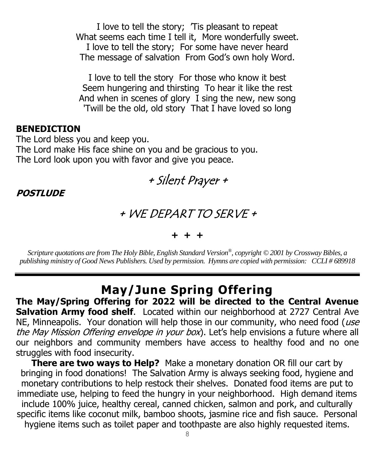I love to tell the story; 'Tis pleasant to repeat What seems each time I tell it, More wonderfully sweet. I love to tell the story; For some have never heard The message of salvation From God's own holy Word.

I love to tell the story For those who know it best Seem hungering and thirsting To hear it like the rest And when in scenes of glory I sing the new, new song 'Twill be the old, old story That I have loved so long

#### **BENEDICTION**

The Lord bless you and keep you. The Lord make His face shine on you and be gracious to you. The Lord look upon you with favor and give you peace.



**POSTLUDE**

## + WE DEPART TO SERVE +

#### **+ + +**

*Scripture quotations are from The Holy Bible, English Standard Version® , copyright © 2001 by Crossway Bibles, a publishing ministry of Good News Publishers. Used by permission. Hymns are copied with permission: CCLI # 689918*

# **May/June Spring Offering**

**The May/Spring Offering for 2022 will be directed to the Central Avenue Salvation Army food shelf**. Located within our neighborhood at 2727 Central Ave NE, Minneapolis. Your donation will help those in our community, who need food (use the May Mission Offering envelope in your box). Let's help envisions a future where all our neighbors and community members have access to healthy food and no one struggles with food insecurity.

**There are two ways to Help?** Make a monetary donation OR fill our cart by bringing in food donations! The Salvation Army is always seeking food, hygiene and monetary contributions to help restock their shelves. Donated food items are put to immediate use, helping to feed the hungry in your neighborhood. High demand items include 100% juice, healthy cereal, canned chicken, salmon and pork, and culturally specific items like coconut milk, bamboo shoots, jasmine rice and fish sauce. Personal hygiene items such as toilet paper and toothpaste are also highly requested items.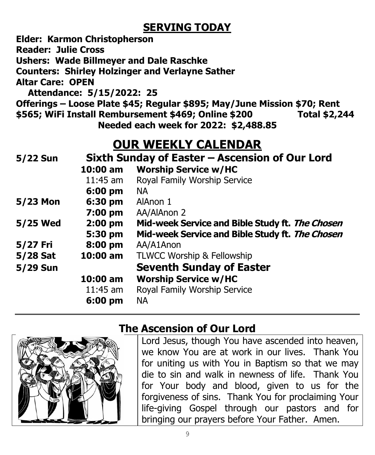# **SERVING TODAY**

**Elder: Karmon Christopherson**

**Reader: Julie Cross**

**Ushers: Wade Billmeyer and Dale Raschke**

**Counters: Shirley Holzinger and Verlayne Sather**

**Altar Care: OPEN**

 **Attendance: 5/15/2022: 25**

**Offerings – Loose Plate \$45; Regular \$895; May/June Mission \$70; Rent \$565; WiFi Install Rembursement \$469; Online \$200 Total \$2,244**

**Needed each week for 2022: \$2,488.85** 

# **OUR WEEKLY CALENDAR**

| 5/22 Sun | Sixth Sunday of Easter – Ascension of Our Lord |                                                 |
|----------|------------------------------------------------|-------------------------------------------------|
|          | 10:00 am                                       | <b>Worship Service w/HC</b>                     |
|          | $11:45$ am                                     | Royal Family Worship Service                    |
|          | $6:00$ pm                                      | <b>NA</b>                                       |
| 5/23 Mon | 6:30 pm                                        | AlAnon 1                                        |
|          | $7:00 \text{ pm}$                              | AA/AlAnon 2                                     |
| 5/25 Wed | $2:00$ pm                                      | Mid-week Service and Bible Study ft. The Chosen |
|          | 5:30 pm                                        | Mid-week Service and Bible Study ft. The Chosen |
| 5/27 Fri | 8:00 pm                                        | AA/A1Anon                                       |
| 5/28 Sat | $10:00$ am                                     | TLWCC Worship & Fellowship                      |
| 5/29 Sun |                                                | <b>Seventh Sunday of Easter</b>                 |
|          | $10:00$ am                                     | <b>Worship Service w/HC</b>                     |
|          | $11:45$ am                                     | Royal Family Worship Service                    |
|          | 6:00 pm                                        | <b>NA</b>                                       |



# **The Ascension of Our Lord**

Lord Jesus, though You have ascended into heaven, we know You are at work in our lives. Thank You for uniting us with You in Baptism so that we may die to sin and walk in newness of life. Thank You for Your body and blood, given to us for the forgiveness of sins. Thank You for proclaiming Your life-giving Gospel through our pastors and for bringing our prayers before Your Father. Amen.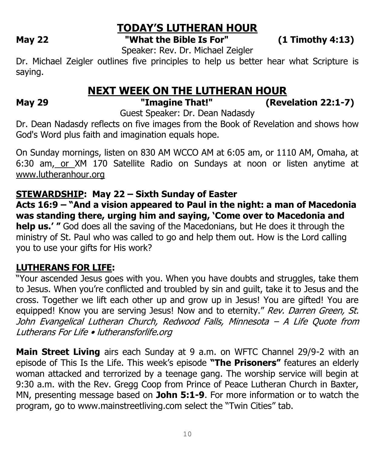# **TODAY'S LUTHERAN HOUR**

**May 22 "What the Bible Is For" (1 Timothy 4:13)**

Speaker: Rev. Dr. Michael Zeigler

Dr. Michael Zeigler outlines five principles to help us better hear what Scripture is saying.

# **NEXT WEEK ON THE LUTHERAN HOUR**<br>"Imagine That!" (Reve

**May 29 "Imagine That!" (Revelation 22:1-7)**

Guest Speaker: Dr. Dean Nadasdy

Dr. Dean Nadasdy reflects on five images from the Book of Revelation and shows how God's Word plus faith and imagination equals hope.

On Sunday mornings, listen on 830 AM WCCO AM at 6:05 am, or 1110 AM, Omaha, at 6:30 am, or XM 170 Satellite Radio on Sundays at noon or listen anytime at [www.lutheranhour.org](http://www.lutheranhour.org/)

#### **STEWARDSHIP: May 22 – Sixth Sunday of Easter**

**Acts 16:9 – "And a vision appeared to Paul in the night: a man of Macedonia was standing there, urging him and saying, 'Come over to Macedonia and help us.' "** God does all the saving of the Macedonians, but He does it through the ministry of St. Paul who was called to go and help them out. How is the Lord calling you to use your gifts for His work?

### **LUTHERANS FOR LIFE:**

"Your ascended Jesus goes with you. When you have doubts and struggles, take them to Jesus. When you're conflicted and troubled by sin and guilt, take it to Jesus and the cross. Together we lift each other up and grow up in Jesus! You are gifted! You are equipped! Know you are serving Jesus! Now and to eternity." Rev. Darren Green, St. John Evangelical Lutheran Church, Redwood Falls, Minnesota – A Life Quote from Lutherans For Life • lutheransforlife.org

**Main Street Living** airs each Sunday at 9 a.m. on WFTC Channel 29/9-2 with an episode of This Is the Life. This week's episode **"The Prisoners"** features an elderly woman attacked and terrorized by a teenage gang. The worship service will begin at 9:30 a.m. with the Rev. Gregg Coop from Prince of Peace Lutheran Church in Baxter, MN, presenting message based on **John 5:1-9**. For more information or to watch the program, go to www.mainstreetliving.com select the "Twin Cities" tab.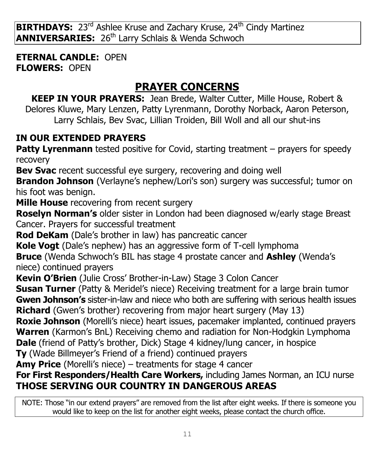**BIRTHDAYS:** 23<sup>rd</sup> Ashlee Kruse and Zachary Kruse, 24<sup>th</sup> Cindy Martinez **ANNIVERSARIES:** 26<sup>th</sup> Larry Schlais & Wenda Schwoch

**ETERNAL CANDLE:** OPEN **FLOWERS:** OPEN

# **PRAYER CONCERNS**

**KEEP IN YOUR PRAYERS:** Jean Brede, Walter Cutter, Mille House, Robert & Delores Kluwe, Mary Lenzen, Patty Lyrenmann, Dorothy Norback, Aaron Peterson, Larry Schlais, Bev Svac, Lillian Troiden, Bill Woll and all our shut-ins

## **IN OUR EXTENDED PRAYERS**

**Patty Lyrenmann** tested positive for Covid, starting treatment – prayers for speedy recovery

**Bev Svac** recent successful eye surgery, recovering and doing well

**Brandon Johnson** (Verlayne's nephew/Lori's son) surgery was successful; tumor on his foot was benign.

**Mille House** recovering from recent surgery

**Roselyn Norman's** older sister in London had been diagnosed w/early stage Breast Cancer. Prayers for successful treatment

**Rod DeKam** (Dale's brother in law) has pancreatic cancer

**Kole Vogt** (Dale's nephew) has an aggressive form of T-cell lymphoma

**Bruce** (Wenda Schwoch's BIL has stage 4 prostate cancer and **Ashley** (Wenda's niece) continued prayers

**Kevin O'Brien** (Julie Cross' Brother-in-Law) Stage 3 Colon Cancer

**Susan Turner** (Patty & Meridel's niece) Receiving treatment for a large brain tumor **Gwen Johnson's** sister-in-law and niece who both are suffering with serious health issues **Richard** (Gwen's brother) recovering from major heart surgery (May 13)

**Roxie Johnson** (Morelli's niece) heart issues, pacemaker implanted, continued prayers **Warren** (Karmon's BnL) Receiving chemo and radiation for Non-Hodgkin Lymphoma **Dale** (friend of Patty's brother, Dick) Stage 4 kidney/lung cancer, in hospice

**Ty** (Wade Billmeyer's Friend of a friend) continued prayers

**Amy Price** (Morelli's niece) – treatments for stage 4 cancer

### **For First Responders/Health Care Workers,** including James Norman, an ICU nurse **THOSE SERVING OUR COUNTRY IN DANGEROUS AREAS**

NOTE: Those "in our extend prayers" are removed from the list after eight weeks. If there is someone you would like to keep on the list for another eight weeks, please contact the church office.